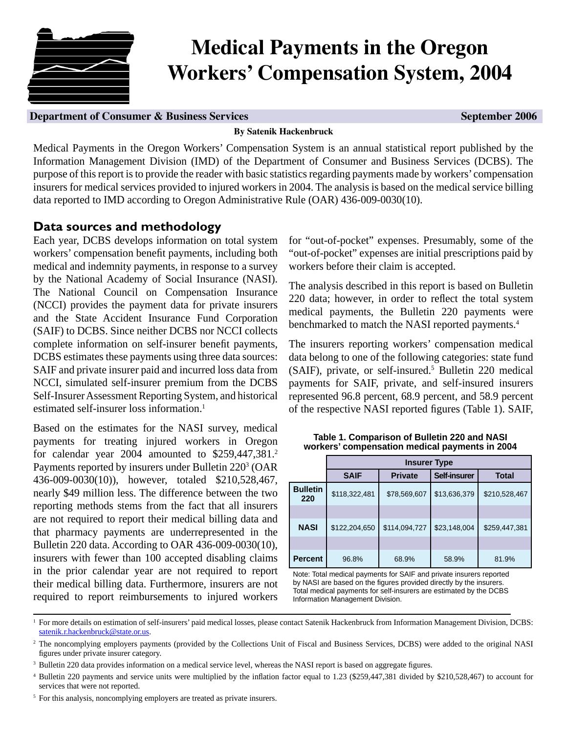

# **Medical Payments in the Oregon Workers' Compensation System, 2004**

#### **Department of Consumer & Business Services Services Services September 2006**

#### **By Satenik Hackenbruck**

Medical Payments in the Oregon Workers' Compensation System is an annual statistical report published by the Information Management Division (IMD) of the Department of Consumer and Business Services (DCBS). The purpose of this report is to provide the reader with basic statistics regarding payments made by workers' compensation insurers for medical services provided to injured workers in 2004. The analysis is based on the medical service billing data reported to IMD according to Oregon Administrative Rule (OAR) 436-009-0030(10).

## **Data sources and methodology**

Each year, DCBS develops information on total system workers' compensation benefit payments, including both medical and indemnity payments, in response to a survey by the National Academy of Social Insurance (NASI). The National Council on Compensation Insurance (NCCI) provides the payment data for private insurers and the State Accident Insurance Fund Corporation (SAIF) to DCBS. Since neither DCBS nor NCCI collects complete information on self-insurer benefit payments, DCBS estimates these payments using three data sources: SAIF and private insurer paid and incurred loss data from NCCI, simulated self-insurer premium from the DCBS Self-Insurer Assessment Reporting System, and historical estimated self-insurer loss information.<sup>1</sup>

Based on the estimates for the NASI survey, medical payments for treating injured workers in Oregon for calendar year 2004 amounted to \$259,447,381.<sup>2</sup> Payments reported by insurers under Bulletin 220<sup>3</sup> (OAR 436-009-0030(10)), however, totaled \$210,528,467, nearly \$49 million less. The difference between the two reporting methods stems from the fact that all insurers are not required to report their medical billing data and that pharmacy payments are underrepresented in the Bulletin 220 data. According to OAR 436-009-0030(10), insurers with fewer than 100 accepted disabling claims in the prior calendar year are not required to report their medical billing data. Furthermore, insurers are not required to report reimbursements to injured workers

for "out-of-pocket" expenses. Presumably, some of the "out-of-pocket" expenses are initial prescriptions paid by workers before their claim is accepted.

The analysis described in this report is based on Bulletin 220 data; however, in order to reflect the total system medical payments, the Bulletin 220 payments were benchmarked to match the NASI reported payments.<sup>4</sup>

The insurers reporting workers' compensation medical data belong to one of the following categories: state fund (SAIF), private, or self-insured.<sup>5</sup> Bulletin 220 medical payments for SAIF, private, and self-insured insurers represented 96.8 percent, 68.9 percent, and 58.9 percent of the respective NASI reported figures (Table 1). SAIF,

|                        |               | <b>Insurer Type</b> |                     |               |  |  |  |  |  |  |  |
|------------------------|---------------|---------------------|---------------------|---------------|--|--|--|--|--|--|--|
|                        | <b>SAIF</b>   | <b>Private</b>      | <b>Self-insurer</b> | <b>Total</b>  |  |  |  |  |  |  |  |
| <b>Bulletin</b><br>220 | \$118,322,481 | \$78,569,607        | \$13,636,379        | \$210,528,467 |  |  |  |  |  |  |  |
|                        |               |                     |                     |               |  |  |  |  |  |  |  |
| <b>NASI</b>            | \$122,204,650 | \$114,094,727       | \$23,148,004        | \$259,447,381 |  |  |  |  |  |  |  |
|                        |               |                     |                     |               |  |  |  |  |  |  |  |
| <b>Percent</b>         | 96.8%         | 68.9%               | 58.9%               | 81.9%         |  |  |  |  |  |  |  |

**Table 1. Comparison of Bulletin 220 and NASI workers' compensation medical payments in 2004**

Note: Total medical payments for SAIF and private insurers reported by NASI are based on the figures provided directly by the insurers. Total medical payments for self-insurers are estimated by the DCBS Information Management Division.

<sup>&</sup>lt;sup>1</sup> For more details on estimation of self-insurers' paid medical losses, please contact Satenik Hackenbruck from Information Management Division, DCBS: [satenik.r.hackenbruck@state.or.us.](mailto:DCBS.Research@state.or.us)

<sup>&</sup>lt;sup>2</sup> The noncomplying employers payments (provided by the Collections Unit of Fiscal and Business Services, DCBS) were added to the original NASI figures under private insurer category.

<sup>&</sup>lt;sup>3</sup> Bulletin 220 data provides information on a medical service level, whereas the NASI report is based on aggregate figures.

<sup>&</sup>lt;sup>4</sup> Bulletin 220 payments and service units were multiplied by the inflation factor equal to 1.23 (\$259,447,381 divided by \$210,528,467) to account for services that were not reported.

<sup>&</sup>lt;sup>5</sup> For this analysis, noncomplying employers are treated as private insurers.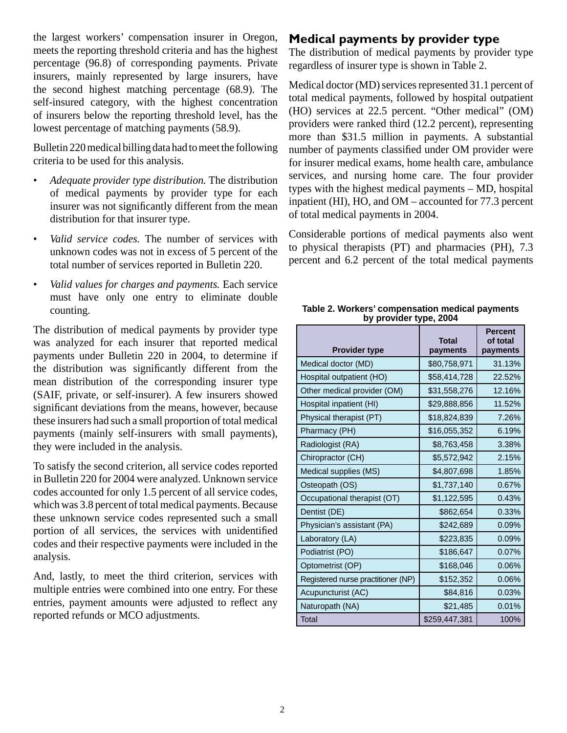the largest workers' compensation insurer in Oregon, meets the reporting threshold criteria and has the highest percentage (96.8) of corresponding payments. Private insurers, mainly represented by large insurers, have the second highest matching percentage (68.9). The self-insured category, with the highest concentration of insurers below the reporting threshold level, has the lowest percentage of matching payments (58.9).

Bulletin 220 medical billing data had to meet the following criteria to be used for this analysis.

- *Adequate provider type distribution.* The distribution of medical payments by provider type for each insurer was not significantly different from the mean distribution for that insurer type.
- *Valid service codes.* The number of services with unknown codes was not in excess of 5 percent of the total number of services reported in Bulletin 220.
- *Valid values for charges and payments.* Each service must have only one entry to eliminate double counting.

The distribution of medical payments by provider type was analyzed for each insurer that reported medical payments under Bulletin 220 in 2004, to determine if the distribution was significantly different from the mean distribution of the corresponding insurer type (SAIF, private, or self-insurer). A few insurers showed significant deviations from the means, however, because these insurers had such a small proportion of total medical payments (mainly self-insurers with small payments), they were included in the analysis.

To satisfy the second criterion, all service codes reported in Bulletin 220 for 2004 were analyzed. Unknown service codes accounted for only 1.5 percent of all service codes, which was 3.8 percent of total medical payments. Because these unknown service codes represented such a small portion of all services, the services with unidentified codes and their respective payments were included in the analysis.

And, lastly, to meet the third criterion, services with multiple entries were combined into one entry. For these entries, payment amounts were adjusted to reflect any reported refunds or MCO adjustments.

# **Medical payments by provider type**

The distribution of medical payments by provider type regardless of insurer type is shown in Table 2.

Medical doctor (MD) services represented 31.1 percent of total medical payments, followed by hospital outpatient (HO) services at 22.5 percent. "Other medical" (OM) providers were ranked third (12.2 percent), representing more than \$31.5 million in payments. A substantial number of payments classified under OM provider were for insurer medical exams, home health care, ambulance services, and nursing home care. The four provider types with the highest medical payments – MD, hospital inpatient (HI), HO, and OM – accounted for 77.3 percent of total medical payments in 2004.

Considerable portions of medical payments also went to physical therapists (PT) and pharmacies (PH), 7.3 percent and 6.2 percent of the total medical payments

| <b>Provider type</b>               | <b>Total</b><br>payments | <b>Percent</b><br>of total<br>payments |
|------------------------------------|--------------------------|----------------------------------------|
| Medical doctor (MD)                | \$80,758,971             | 31.13%                                 |
| Hospital outpatient (HO)           | \$58,414,728             | 22.52%                                 |
| Other medical provider (OM)        | \$31,558,276             | 12.16%                                 |
| Hospital inpatient (HI)            | \$29,888,856             | 11.52%                                 |
| Physical therapist (PT)            | \$18,824,839             | 7.26%                                  |
| Pharmacy (PH)                      | \$16,055,352             | 6.19%                                  |
| Radiologist (RA)                   | \$8,763,458              | 3.38%                                  |
| Chiropractor (CH)                  | \$5,572,942              | 2.15%                                  |
| Medical supplies (MS)              | \$4,807,698              | 1.85%                                  |
| Osteopath (OS)                     | \$1,737,140              | 0.67%                                  |
| Occupational therapist (OT)        | \$1,122,595              | 0.43%                                  |
| Dentist (DE)                       | \$862,654                | 0.33%                                  |
| Physician's assistant (PA)         | \$242,689                | 0.09%                                  |
| Laboratory (LA)                    | \$223,835                | 0.09%                                  |
| Podiatrist (PO)                    | \$186,647                | 0.07%                                  |
| Optometrist (OP)                   | \$168,046                | 0.06%                                  |
| Registered nurse practitioner (NP) | \$152,352                | 0.06%                                  |
| Acupuncturist (AC)                 | \$84,816                 | 0.03%                                  |
| Naturopath (NA)                    | \$21,485                 | 0.01%                                  |
| Total                              | \$259,447,381            | 100%                                   |

| Table 2. Workers' compensation medical payments |  |
|-------------------------------------------------|--|
| by provider type, 2004                          |  |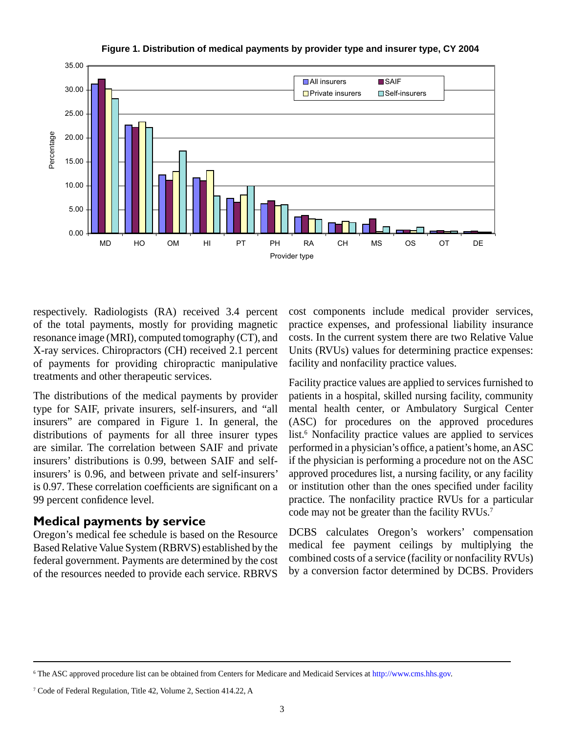

**Figure 1. Distribution of medical payments by provider type and insurer type, CY 2004**

respectively. Radiologists (RA) received 3.4 percent of the total payments, mostly for providing magnetic resonance image (MRI), computed tomography (CT), and X-ray services. Chiropractors (CH) received 2.1 percent of payments for providing chiropractic manipulative treatments and other therapeutic services.

The distributions of the medical payments by provider type for SAIF, private insurers, self-insurers, and "all insurers" are compared in Figure 1. In general, the distributions of payments for all three insurer types are similar. The correlation between SAIF and private insurers' distributions is 0.99, between SAIF and selfinsurers' is 0.96, and between private and self-insurers' is 0.97. These correlation coefficients are significant on a 99 percent confidence level.

### **Medical payments by service**

Oregon's medical fee schedule is based on the Resource Based Relative Value System (RBRVS) established by the federal government. Payments are determined by the cost of the resources needed to provide each service. RBRVS

cost components include medical provider services, practice expenses, and professional liability insurance costs. In the current system there are two Relative Value Units (RVUs) values for determining practice expenses: facility and nonfacility practice values.

Facility practice values are applied to services furnished to patients in a hospital, skilled nursing facility, community mental health center, or Ambulatory Surgical Center (ASC) for procedures on the approved procedures list.<sup>6</sup> Nonfacility practice values are applied to services performed in a physician's office, a patient's home, an ASC if the physician is performing a procedure not on the ASC approved procedures list, a nursing facility, or any facility or institution other than the ones specified under facility practice. The nonfacility practice RVUs for a particular code may not be greater than the facility RVUs.<sup>7</sup>

DCBS calculates Oregon's workers' compensation medical fee payment ceilings by multiplying the combined costs of a service (facility or nonfacility RVUs) by a conversion factor determined by DCBS. Providers

<sup>6</sup> The ASC approved procedure list can be obtained from Centers for Medicare and Medicaid Services a[t http://www.cms.hhs.gov.](http://www.cms.hhs.gov)

<sup>7</sup> Code of Federal Regulation, Title 42, Volume 2, Section 414.22, A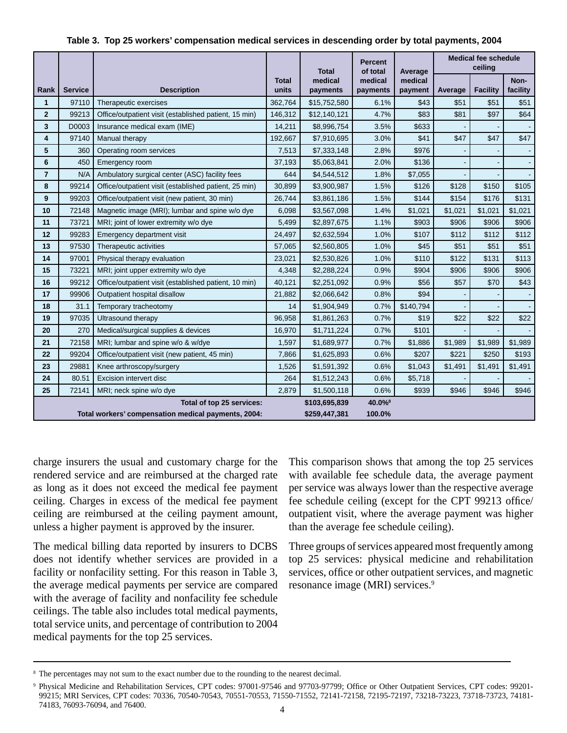|                |                |                                                       |                | <b>Total</b>        | <b>Percent</b><br>of total | Average            | <b>Medical fee schedule</b><br>ceiling |                 |                  |
|----------------|----------------|-------------------------------------------------------|----------------|---------------------|----------------------------|--------------------|----------------------------------------|-----------------|------------------|
| Rank           | <b>Service</b> | <b>Description</b>                                    | Total<br>units | medical<br>payments | medical<br>payments        | medical<br>payment | Average                                | <b>Facility</b> | Non-<br>facility |
| 1              | 97110          | Therapeutic exercises                                 | 362,764        | \$15,752,580        | 6.1%                       | \$43               | \$51                                   | \$51            | \$51             |
| $\overline{2}$ | 99213          | Office/outpatient visit (established patient, 15 min) | 146,312        | \$12,140,121        | 4.7%                       | \$83               | \$81                                   | \$97            | \$64             |
| 3              | D0003          | Insurance medical exam (IME)                          | 14,211         | \$8,996,754         | 3.5%                       | \$633              |                                        |                 |                  |
| 4              | 97140          | Manual therapy                                        | 192,667        | \$7,910,695         | 3.0%                       | \$41               | \$47                                   | \$47            | \$47             |
| 5              | 360            | Operating room services                               | 7,513          | \$7,333,148         | 2.8%                       | \$976              |                                        |                 |                  |
| 6              | 450            | Emergency room                                        | 37,193         | \$5,063,841         | 2.0%                       | \$136              |                                        |                 |                  |
| $\overline{7}$ | N/A            | Ambulatory surgical center (ASC) facility fees        | 644            | \$4,544,512         | 1.8%                       | \$7,055            |                                        |                 |                  |
| 8              | 99214          | Office/outpatient visit (established patient, 25 min) | 30,899         | \$3,900,987         | 1.5%                       | \$126              | \$128                                  | \$150           | \$105            |
| 9              | 99203          | Office/outpatient visit (new patient, 30 min)         | 26,744         | \$3,861,186         | 1.5%                       | \$144              | \$154                                  | \$176           | \$131            |
| 10             | 72148          | Magnetic image (MRI); lumbar and spine w/o dye        | 6,098          | \$3,567,098         | 1.4%                       | \$1,021            | \$1,021                                | \$1,021         | \$1,021          |
| 11             | 73721          | MRI; joint of lower extremity w/o dye                 | 5,499          | \$2,897,675         | 1.1%                       | \$903              | \$906                                  | \$906           | \$906            |
| 12             | 99283          | Emergency department visit                            | 24,497         | \$2,632,594         | 1.0%                       | \$107              | \$112                                  | \$112           | \$112            |
| 13             | 97530          | Therapeutic activities                                | 57,065         | \$2,560,805         | 1.0%                       | \$45               | \$51                                   | \$51            | \$51             |
| 14             | 97001          | Physical therapy evaluation                           | 23,021         | \$2,530,826         | 1.0%                       | \$110              | \$122                                  | \$131           | \$113            |
| 15             | 73221          | MRI; joint upper extremity w/o dye                    | 4,348          | \$2,288,224         | 0.9%                       | \$904              | \$906                                  | \$906           | \$906            |
| 16             | 99212          | Office/outpatient visit (established patient, 10 min) | 40,121         | \$2,251,092         | 0.9%                       | \$56               | \$57                                   | \$70            | \$43             |
| 17             | 99906          | Outpatient hospital disallow                          | 21,882         | \$2,066,642         | 0.8%                       | \$94               |                                        |                 |                  |
| 18             | 31.1           | Temporary tracheotomy                                 | 14             | \$1,904,949         | 0.7%                       | \$140,794          |                                        |                 |                  |
| 19             | 97035          | Ultrasound therapy                                    | 96,958         | \$1,861,263         | 0.7%                       | \$19               | \$22                                   | \$22            | \$22             |
| 20             | 270            | Medical/surgical supplies & devices                   | 16,970         | \$1,711,224         | 0.7%                       | \$101              |                                        |                 |                  |
| 21             | 72158          | MRI; lumbar and spine w/o & w/dye                     | 1,597          | \$1,689,977         | 0.7%                       | \$1,886            | \$1,989                                | \$1,989         | \$1.989          |
| 22             | 99204          | Office/outpatient visit (new patient, 45 min)         | 7,866          | \$1,625,893         | 0.6%                       | \$207              | \$221                                  | \$250           | \$193            |
| 23             | 29881          | Knee arthroscopy/surgery                              | 1,526          | \$1,591,392         | 0.6%                       | \$1,043            | \$1,491                                | \$1,491         | \$1,491          |
| 24             | 80.51          | Excision intervert disc                               | 264            | \$1,512,243         | 0.6%                       | \$5,718            |                                        |                 |                  |
| 25             | 72141          | MRI; neck spine w/o dye                               | 2,879          | \$1,500,118         | 0.6%                       | \$939              | \$946                                  | \$946           | \$946            |
|                |                | Total of top 25 services:                             |                | \$103,695,839       | 40.0% <sup>8</sup>         |                    |                                        |                 |                  |
|                |                | Total workers' compensation medical payments, 2004:   |                | \$259,447,381       | 100.0%                     |                    |                                        |                 |                  |

#### **Table 3. Top 25 workers' compensation medical services in descending order by total payments, 2004**

charge insurers the usual and customary charge for the rendered service and are reimbursed at the charged rate as long as it does not exceed the medical fee payment ceiling. Charges in excess of the medical fee payment ceiling are reimbursed at the ceiling payment amount, unless a higher payment is approved by the insurer.

The medical billing data reported by insurers to DCBS does not identify whether services are provided in a facility or nonfacility setting. For this reason in Table 3, the average medical payments per service are compared with the average of facility and nonfacility fee schedule ceilings. The table also includes total medical payments, total service units, and percentage of contribution to 2004 medical payments for the top 25 services.

This comparison shows that among the top 25 services with available fee schedule data, the average payment per service was always lower than the respective average fee schedule ceiling (except for the CPT 99213 office/ outpatient visit, where the average payment was higher than the average fee schedule ceiling).

Three groups of services appeared most frequently among top 25 services: physical medicine and rehabilitation services, office or other outpatient services, and magnetic resonance image (MRI) services.9

<sup>&</sup>lt;sup>8</sup> The percentages may not sum to the exact number due to the rounding to the nearest decimal.

Physical Medicine and Rehabilitation Services, CPT codes: 97001-97546 and 97703-97799; Office or Other Outpatient Services, CPT codes: 99201-99215; MRI Services, CPT codes: 70336, 70540-70543, 70551-70553, 71550-71552, 72141-72158, 72195-72197, 73218-73223, 73718-73723, 74181- 74183, 76093-76094, and 76400.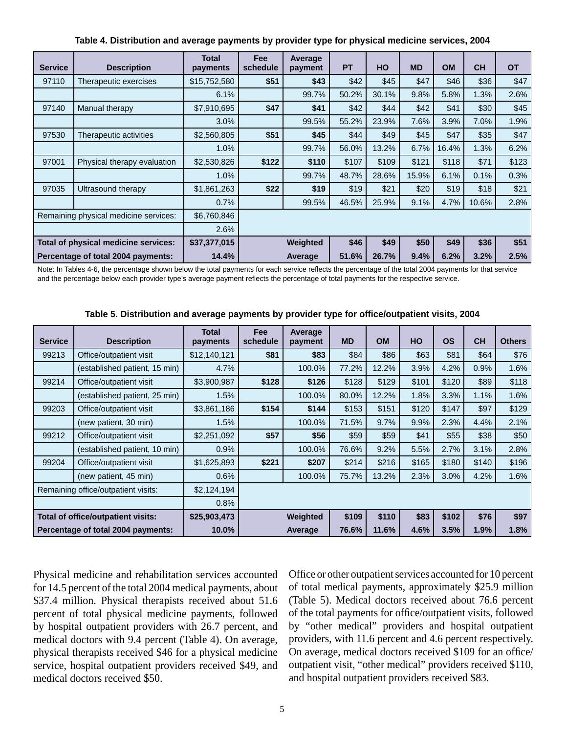| <b>Service</b>                        | <b>Description</b>          | <b>Total</b><br>payments | <b>Fee</b><br>schedule | Average<br>payment | <b>PT</b> | HO    | <b>MD</b> | <b>OM</b> | <b>CH</b> | <b>OT</b> |
|---------------------------------------|-----------------------------|--------------------------|------------------------|--------------------|-----------|-------|-----------|-----------|-----------|-----------|
| 97110                                 | Therapeutic exercises       | \$15,752,580             | \$51                   | \$43               | \$42      | \$45  | \$47      | \$46      | \$36      | \$47      |
|                                       |                             | 6.1%                     |                        | 99.7%              | 50.2%     | 30.1% | 9.8%      | 5.8%      | 1.3%      | 2.6%      |
| 97140                                 | Manual therapy              | \$7,910,695              | \$47                   | \$41               | \$42      | \$44  | \$42      | \$41      | \$30      | \$45      |
|                                       |                             | 3.0%                     |                        | 99.5%              | 55.2%     | 23.9% | 7.6%      | 3.9%      | 7.0%      | 1.9%      |
| 97530                                 | Therapeutic activities      | \$2,560,805              | \$51                   | \$45               | \$44      | \$49  | \$45      | \$47      | \$35      | \$47      |
|                                       |                             | 1.0%                     |                        | 99.7%              | 56.0%     | 13.2% | 6.7%      | 16.4%     | 1.3%      | 6.2%      |
| 97001                                 | Physical therapy evaluation | \$2,530,826              | \$122                  | \$110              | \$107     | \$109 | \$121     | \$118     | \$71      | \$123     |
|                                       |                             | 1.0%                     |                        | 99.7%              | 48.7%     | 28.6% | 15.9%     | 6.1%      | 0.1%      | 0.3%      |
| 97035                                 | Ultrasound therapy          | \$1,861,263              | \$22                   | \$19               | \$19      | \$21  | \$20      | \$19      | \$18      | \$21      |
|                                       |                             | 0.7%                     |                        | 99.5%              | 46.5%     | 25.9% | 9.1%      | 4.7%      | 10.6%     | 2.8%      |
| Remaining physical medicine services: |                             | \$6,760,846              |                        |                    |           |       |           |           |           |           |
|                                       |                             | 2.6%                     |                        |                    |           |       |           |           |           |           |
| Total of physical medicine services:  |                             | \$37,377,015             |                        | Weighted           | \$46      | \$49  | \$50      | \$49      | \$36      | \$51      |
| Percentage of total 2004 payments:    |                             | 14.4%                    |                        | Average            | 51.6%     | 26.7% | 9.4%      | 6.2%      | 3.2%      | 2.5%      |

**Table 4. Distribution and average payments by provider type for physical medicine services, 2004**

Note: In Tables 4-6, the percentage shown below the total payments for each service reflects the percentage of the total 2004 payments for that service and the percentage below each provider type's average payment reflects the percentage of total payments for the respective service.

| <b>Service</b>                      | <b>Description</b>            | <b>Total</b><br>payments | <b>Fee</b><br>schedule | Average<br>payment | <b>MD</b> | <b>OM</b> | HO    | <b>OS</b> | <b>CH</b> | <b>Others</b> |
|-------------------------------------|-------------------------------|--------------------------|------------------------|--------------------|-----------|-----------|-------|-----------|-----------|---------------|
| 99213                               | Office/outpatient visit       | \$12,140,121             | \$81                   | \$83               | \$84      | \$86      | \$63  | \$81      | \$64      | \$76          |
|                                     | (established patient, 15 min) | 4.7%                     |                        | 100.0%             | 77.2%     | 12.2%     | 3.9%  | 4.2%      | 0.9%      | 1.6%          |
| 99214                               | Office/outpatient visit       | \$3,900,987              | \$128                  | \$126              | \$128     | \$129     | \$101 | \$120     | \$89      | \$118         |
|                                     | (established patient, 25 min) | 1.5%                     |                        | 100.0%             | 80.0%     | 12.2%     | 1.8%  | 3.3%      | 1.1%      | 1.6%          |
| 99203                               | Office/outpatient visit       | \$3,861,186              | \$154                  | \$144              | \$153     | \$151     | \$120 | \$147     | \$97      | \$129         |
|                                     | (new patient, 30 min)         | 1.5%                     |                        | 100.0%             | 71.5%     | 9.7%      | 9.9%  | 2.3%      | 4.4%      | 2.1%          |
| 99212                               | Office/outpatient visit       | \$2,251,092              | \$57                   | \$56               | \$59      | \$59      | \$41  | \$55      | \$38      | \$50          |
|                                     | (established patient, 10 min) | 0.9%                     |                        | 100.0%             | 76.6%     | 9.2%      | 5.5%  | 2.7%      | 3.1%      | 2.8%          |
| 99204                               | Office/outpatient visit       | \$1,625,893              | \$221                  | \$207              | \$214     | \$216     | \$165 | \$180     | \$140     | \$196         |
|                                     | (new patient, 45 min)         | 0.6%                     |                        | 100.0%             | 75.7%     | 13.2%     | 2.3%  | 3.0%      | 4.2%      | 1.6%          |
| Remaining office/outpatient visits: |                               | \$2,124,194              |                        |                    |           |           |       |           |           |               |
|                                     |                               | 0.8%                     |                        |                    |           |           |       |           |           |               |
| Total of office/outpatient visits:  |                               | \$25,903,473             |                        | Weighted           | \$109     | \$110     | \$83  | \$102     | \$76      | \$97          |
| Percentage of total 2004 payments:  |                               | 10.0%                    |                        | Average            | 76.6%     | 11.6%     | 4.6%  | 3.5%      | 1.9%      | 1.8%          |

**Table 5. Distribution and average payments by provider type for offi ce/outpatient visits, 2004**

Physical medicine and rehabilitation services accounted for 14.5 percent of the total 2004 medical payments, about \$37.4 million. Physical therapists received about 51.6 percent of total physical medicine payments, followed by hospital outpatient providers with 26.7 percent, and medical doctors with 9.4 percent (Table 4). On average, physical therapists received \$46 for a physical medicine service, hospital outpatient providers received \$49, and medical doctors received \$50.

Office or other outpatient services accounted for 10 percent of total medical payments, approximately \$25.9 million (Table 5). Medical doctors received about 76.6 percent of the total payments for office/outpatient visits, followed by "other medical" providers and hospital outpatient providers, with 11.6 percent and 4.6 percent respectively. On average, medical doctors received \$109 for an office/ outpatient visit, "other medical" providers received \$110, and hospital outpatient providers received \$83.